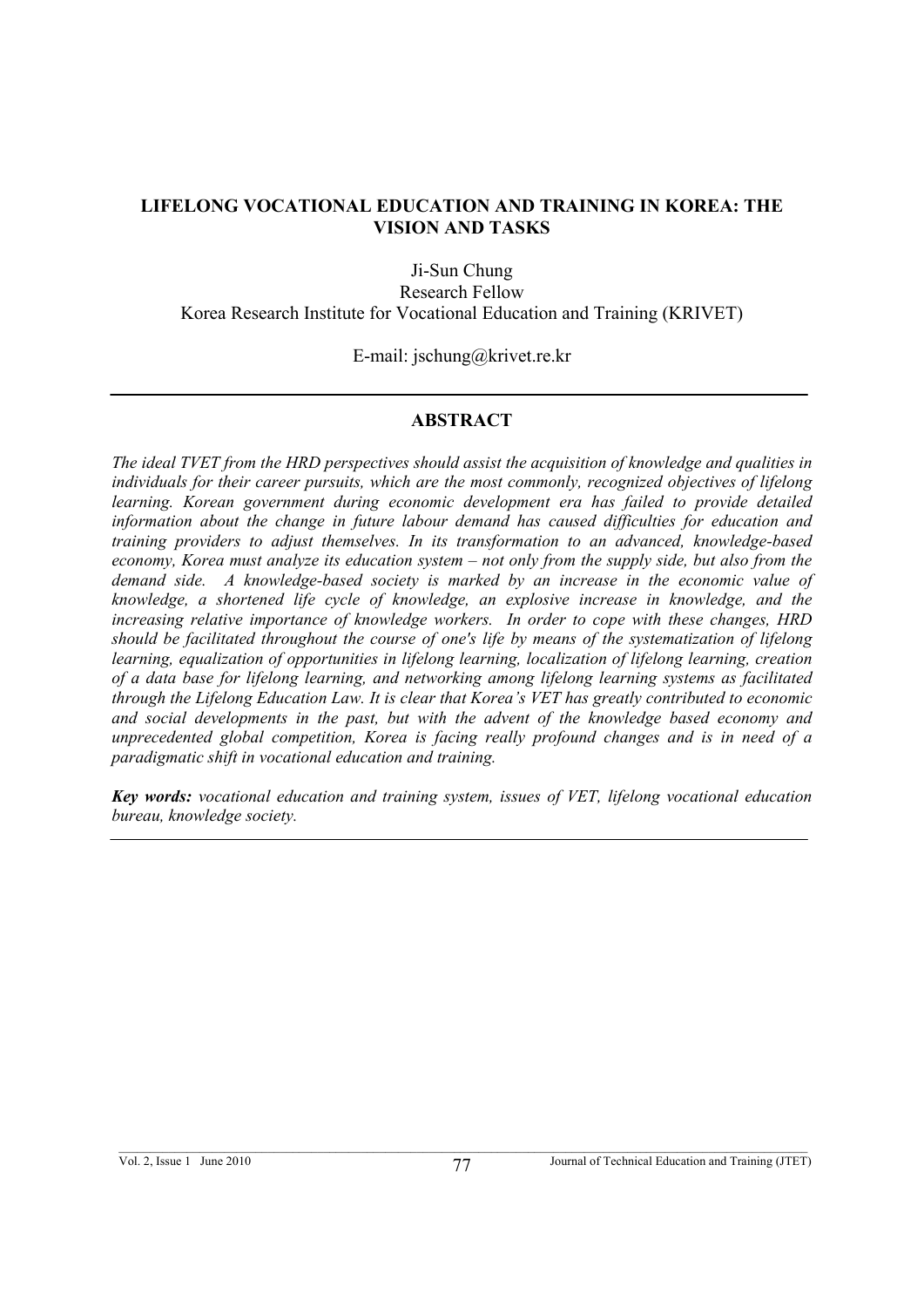#### **LIFELONG VOCATIONAL EDUCATION AND TRAINING IN KOREA: THE VISION AND TASKS**

Ji-Sun Chung Research Fellow

Korea Research Institute for Vocational Education and Training (KRIVET)

E-mail: jschung@krivet.re.kr

#### **ABSTRACT**

*The ideal TVET from the HRD perspectives should assist the acquisition of knowledge and qualities in individuals for their career pursuits, which are the most commonly, recognized objectives of lifelong learning. Korean government during economic development era has failed to provide detailed information about the change in future labour demand has caused difficulties for education and training providers to adjust themselves. In its transformation to an advanced, knowledge-based economy, Korea must analyze its education system – not only from the supply side, but also from the demand side. A knowledge-based society is marked by an increase in the economic value of knowledge, a shortened life cycle of knowledge, an explosive increase in knowledge, and the increasing relative importance of knowledge workers. In order to cope with these changes, HRD should be facilitated throughout the course of one's life by means of the systematization of lifelong learning, equalization of opportunities in lifelong learning, localization of lifelong learning, creation of a data base for lifelong learning, and networking among lifelong learning systems as facilitated through the Lifelong Education Law. It is clear that Korea's VET has greatly contributed to economic and social developments in the past, but with the advent of the knowledge based economy and unprecedented global competition, Korea is facing really profound changes and is in need of a paradigmatic shift in vocational education and training.* 

*Key words: vocational education and training system, issues of VET, lifelong vocational education bureau, knowledge society.*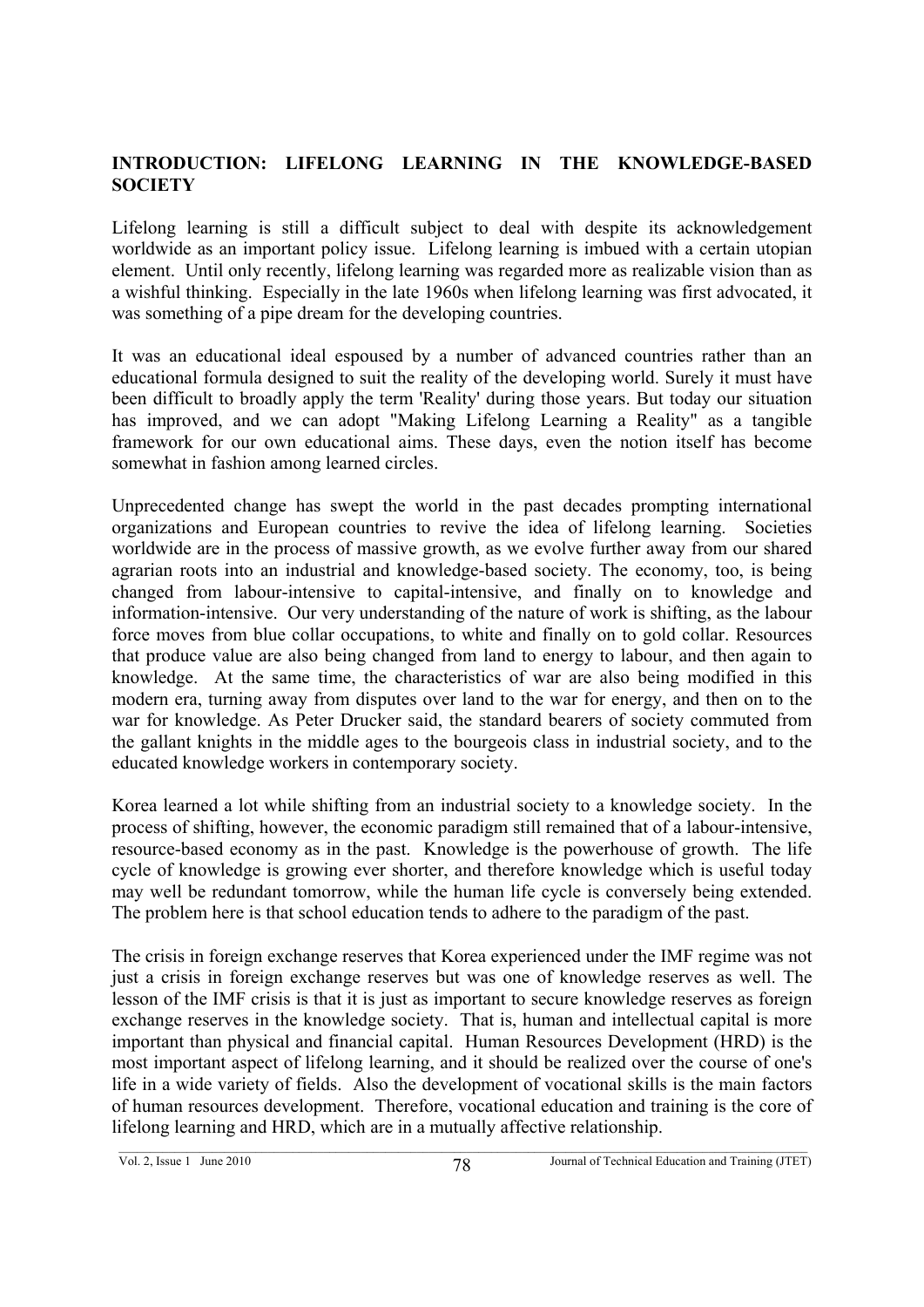### **INTRODUCTION: LIFELONG LEARNING IN THE KNOWLEDGE-BASED SOCIETY**

Lifelong learning is still a difficult subject to deal with despite its acknowledgement worldwide as an important policy issue. Lifelong learning is imbued with a certain utopian element. Until only recently, lifelong learning was regarded more as realizable vision than as a wishful thinking. Especially in the late 1960s when lifelong learning was first advocated, it was something of a pipe dream for the developing countries.

It was an educational ideal espoused by a number of advanced countries rather than an educational formula designed to suit the reality of the developing world. Surely it must have been difficult to broadly apply the term 'Reality' during those years. But today our situation has improved, and we can adopt "Making Lifelong Learning a Reality" as a tangible framework for our own educational aims. These days, even the notion itself has become somewhat in fashion among learned circles.

Unprecedented change has swept the world in the past decades prompting international organizations and European countries to revive the idea of lifelong learning. Societies worldwide are in the process of massive growth, as we evolve further away from our shared agrarian roots into an industrial and knowledge-based society. The economy, too, is being changed from labour-intensive to capital-intensive, and finally on to knowledge and information-intensive. Our very understanding of the nature of work is shifting, as the labour force moves from blue collar occupations, to white and finally on to gold collar. Resources that produce value are also being changed from land to energy to labour, and then again to knowledge. At the same time, the characteristics of war are also being modified in this modern era, turning away from disputes over land to the war for energy, and then on to the war for knowledge. As Peter Drucker said, the standard bearers of society commuted from the gallant knights in the middle ages to the bourgeois class in industrial society, and to the educated knowledge workers in contemporary society.

Korea learned a lot while shifting from an industrial society to a knowledge society. In the process of shifting, however, the economic paradigm still remained that of a labour-intensive, resource-based economy as in the past. Knowledge is the powerhouse of growth. The life cycle of knowledge is growing ever shorter, and therefore knowledge which is useful today may well be redundant tomorrow, while the human life cycle is conversely being extended. The problem here is that school education tends to adhere to the paradigm of the past.

The crisis in foreign exchange reserves that Korea experienced under the IMF regime was not just a crisis in foreign exchange reserves but was one of knowledge reserves as well. The lesson of the IMF crisis is that it is just as important to secure knowledge reserves as foreign exchange reserves in the knowledge society. That is, human and intellectual capital is more important than physical and financial capital. Human Resources Development (HRD) is the most important aspect of lifelong learning, and it should be realized over the course of one's life in a wide variety of fields. Also the development of vocational skills is the main factors of human resources development. Therefore, vocational education and training is the core of lifelong learning and HRD, which are in a mutually affective relationship.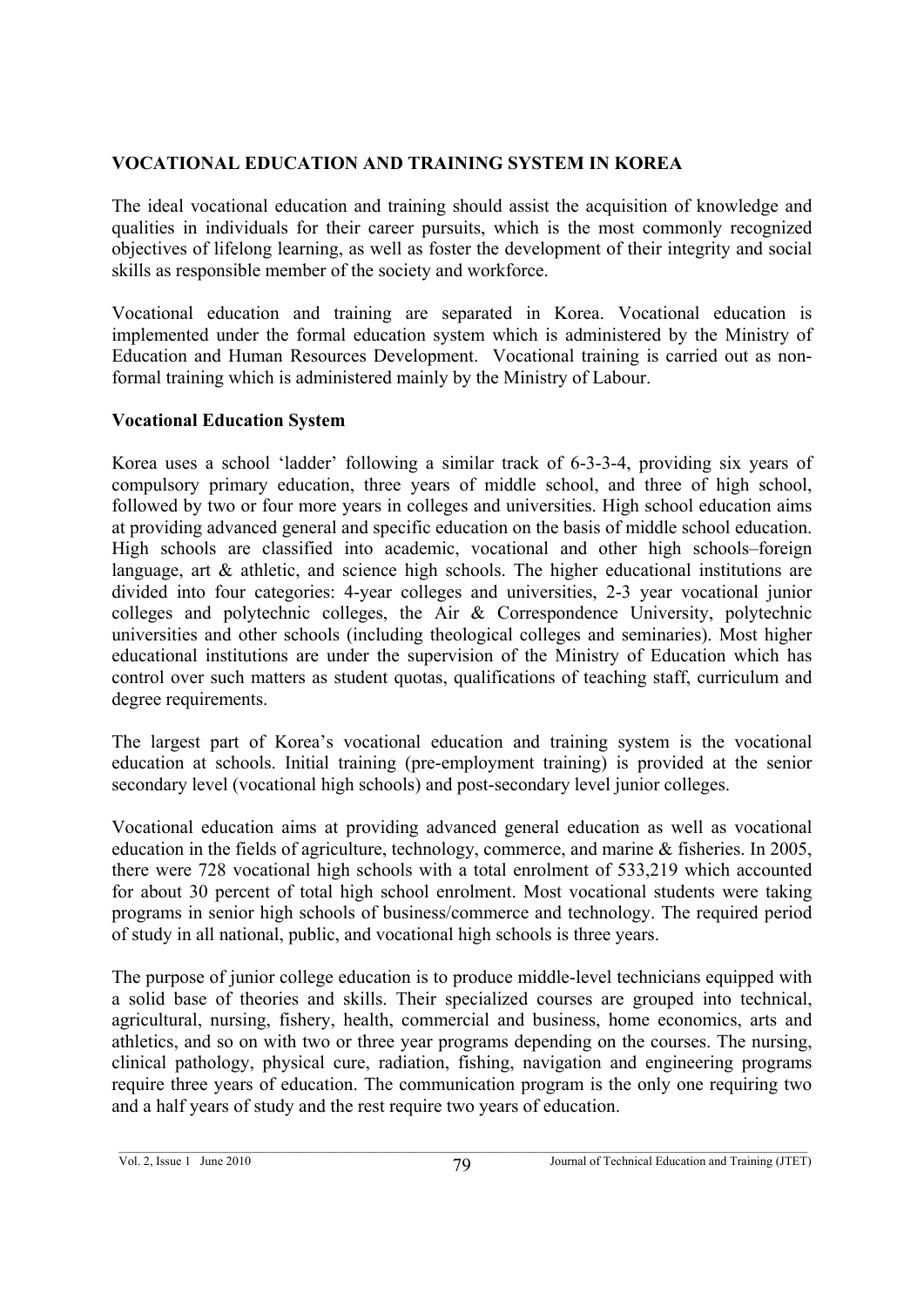# **VOCATIONAL EDUCATION AND TRAINING SYSTEM IN KOREA**

The ideal vocational education and training should assist the acquisition of knowledge and qualities in individuals for their career pursuits, which is the most commonly recognized objectives of lifelong learning, as well as foster the development of their integrity and social skills as responsible member of the society and workforce.

Vocational education and training are separated in Korea. Vocational education is implemented under the formal education system which is administered by the Ministry of Education and Human Resources Development. Vocational training is carried out as nonformal training which is administered mainly by the Ministry of Labour.

# **Vocational Education System**

Korea uses a school 'ladder' following a similar track of 6-3-3-4, providing six years of compulsory primary education, three years of middle school, and three of high school, followed by two or four more years in colleges and universities. High school education aims at providing advanced general and specific education on the basis of middle school education. High schools are classified into academic, vocational and other high schools–foreign language, art  $\&$  athletic, and science high schools. The higher educational institutions are divided into four categories: 4-year colleges and universities, 2-3 year vocational junior colleges and polytechnic colleges, the Air & Correspondence University, polytechnic universities and other schools (including theological colleges and seminaries). Most higher educational institutions are under the supervision of the Ministry of Education which has control over such matters as student quotas, qualifications of teaching staff, curriculum and degree requirements.

The largest part of Korea's vocational education and training system is the vocational education at schools. Initial training (pre-employment training) is provided at the senior secondary level (vocational high schools) and post-secondary level junior colleges.

Vocational education aims at providing advanced general education as well as vocational education in the fields of agriculture, technology, commerce, and marine & fisheries. In 2005, there were 728 vocational high schools with a total enrolment of 533,219 which accounted for about 30 percent of total high school enrolment. Most vocational students were taking programs in senior high schools of business/commerce and technology. The required period of study in all national, public, and vocational high schools is three years.

The purpose of junior college education is to produce middle-level technicians equipped with a solid base of theories and skills. Their specialized courses are grouped into technical, agricultural, nursing, fishery, health, commercial and business, home economics, arts and athletics, and so on with two or three year programs depending on the courses. The nursing, clinical pathology, physical cure, radiation, fishing, navigation and engineering programs require three years of education. The communication program is the only one requiring two and a half years of study and the rest require two years of education.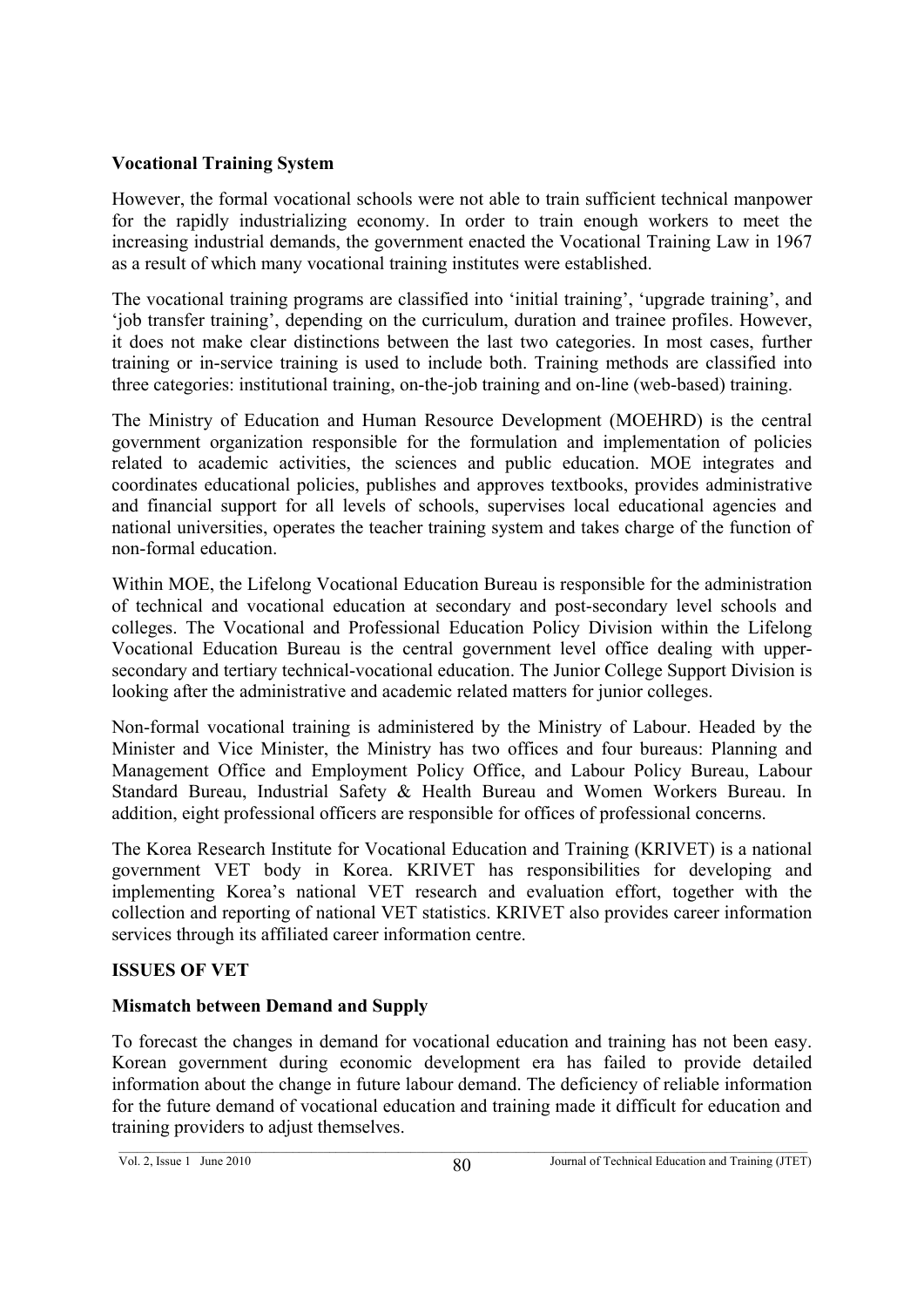## **Vocational Training System**

However, the formal vocational schools were not able to train sufficient technical manpower for the rapidly industrializing economy. In order to train enough workers to meet the increasing industrial demands, the government enacted the Vocational Training Law in 1967 as a result of which many vocational training institutes were established.

The vocational training programs are classified into 'initial training', 'upgrade training', and 'job transfer training', depending on the curriculum, duration and trainee profiles. However, it does not make clear distinctions between the last two categories. In most cases, further training or in-service training is used to include both. Training methods are classified into three categories: institutional training, on-the-job training and on-line (web-based) training.

The Ministry of Education and Human Resource Development (MOEHRD) is the central government organization responsible for the formulation and implementation of policies related to academic activities, the sciences and public education. MOE integrates and coordinates educational policies, publishes and approves textbooks, provides administrative and financial support for all levels of schools, supervises local educational agencies and national universities, operates the teacher training system and takes charge of the function of non-formal education.

Within MOE, the Lifelong Vocational Education Bureau is responsible for the administration of technical and vocational education at secondary and post-secondary level schools and colleges. The Vocational and Professional Education Policy Division within the Lifelong Vocational Education Bureau is the central government level office dealing with uppersecondary and tertiary technical-vocational education. The Junior College Support Division is looking after the administrative and academic related matters for junior colleges.

Non-formal vocational training is administered by the Ministry of Labour. Headed by the Minister and Vice Minister, the Ministry has two offices and four bureaus: Planning and Management Office and Employment Policy Office, and Labour Policy Bureau, Labour Standard Bureau, Industrial Safety & Health Bureau and Women Workers Bureau. In addition, eight professional officers are responsible for offices of professional concerns.

The Korea Research Institute for Vocational Education and Training (KRIVET) is a national government VET body in Korea. KRIVET has responsibilities for developing and implementing Korea's national VET research and evaluation effort, together with the collection and reporting of national VET statistics. KRIVET also provides career information services through its affiliated career information centre.

# **ISSUES OF VET**

# **Mismatch between Demand and Supply**

To forecast the changes in demand for vocational education and training has not been easy. Korean government during economic development era has failed to provide detailed information about the change in future labour demand. The deficiency of reliable information for the future demand of vocational education and training made it difficult for education and training providers to adjust themselves.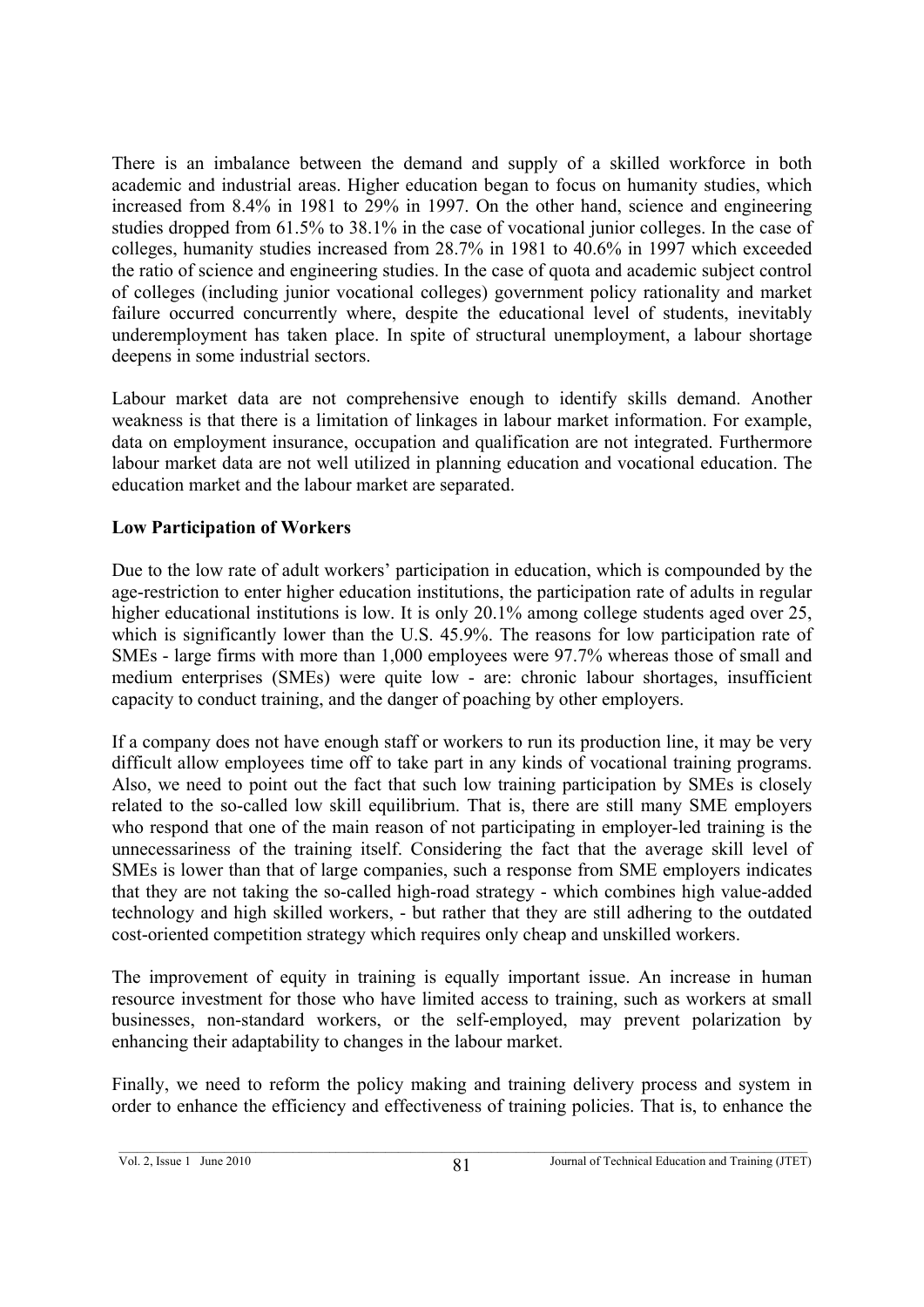There is an imbalance between the demand and supply of a skilled workforce in both academic and industrial areas. Higher education began to focus on humanity studies, which increased from 8.4% in 1981 to 29% in 1997. On the other hand, science and engineering studies dropped from 61.5% to 38.1% in the case of vocational junior colleges. In the case of colleges, humanity studies increased from 28.7% in 1981 to 40.6% in 1997 which exceeded the ratio of science and engineering studies. In the case of quota and academic subject control of colleges (including junior vocational colleges) government policy rationality and market failure occurred concurrently where, despite the educational level of students, inevitably underemployment has taken place. In spite of structural unemployment, a labour shortage deepens in some industrial sectors.

Labour market data are not comprehensive enough to identify skills demand. Another weakness is that there is a limitation of linkages in labour market information. For example, data on employment insurance, occupation and qualification are not integrated. Furthermore labour market data are not well utilized in planning education and vocational education. The education market and the labour market are separated.

## **Low Participation of Workers**

Due to the low rate of adult workers' participation in education, which is compounded by the age-restriction to enter higher education institutions, the participation rate of adults in regular higher educational institutions is low. It is only 20.1% among college students aged over 25, which is significantly lower than the U.S. 45.9%. The reasons for low participation rate of SMEs - large firms with more than 1,000 employees were 97.7% whereas those of small and medium enterprises (SMEs) were quite low - are: chronic labour shortages, insufficient capacity to conduct training, and the danger of poaching by other employers.

If a company does not have enough staff or workers to run its production line, it may be very difficult allow employees time off to take part in any kinds of vocational training programs. Also, we need to point out the fact that such low training participation by SMEs is closely related to the so-called low skill equilibrium. That is, there are still many SME employers who respond that one of the main reason of not participating in employer-led training is the unnecessariness of the training itself. Considering the fact that the average skill level of SMEs is lower than that of large companies, such a response from SME employers indicates that they are not taking the so-called high-road strategy - which combines high value-added technology and high skilled workers, - but rather that they are still adhering to the outdated cost-oriented competition strategy which requires only cheap and unskilled workers.

The improvement of equity in training is equally important issue. An increase in human resource investment for those who have limited access to training, such as workers at small businesses, non-standard workers, or the self-employed, may prevent polarization by enhancing their adaptability to changes in the labour market.

Finally, we need to reform the policy making and training delivery process and system in order to enhance the efficiency and effectiveness of training policies. That is, to enhance the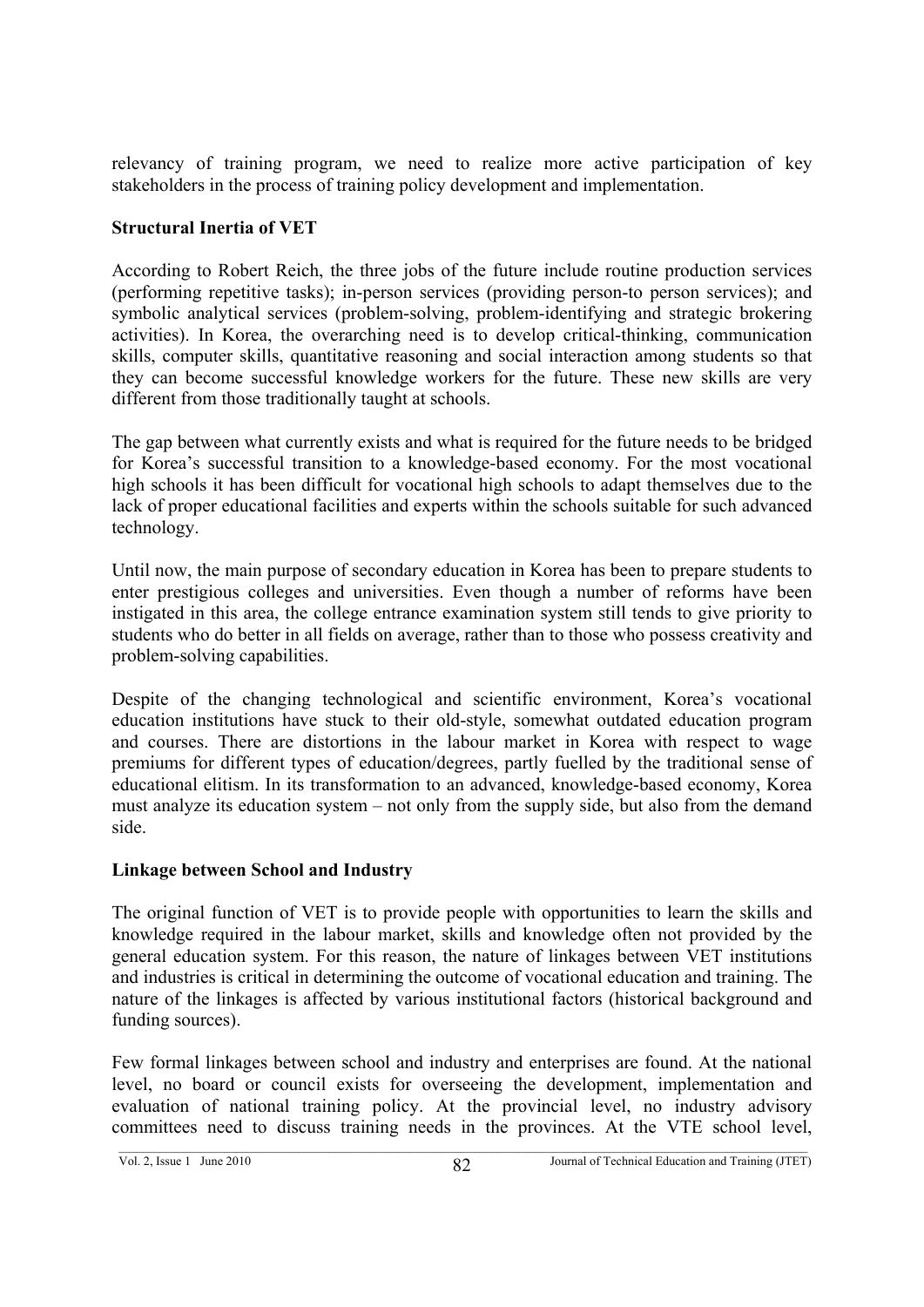relevancy of training program, we need to realize more active participation of key stakeholders in the process of training policy development and implementation.

### **Structural Inertia of VET**

According to Robert Reich, the three jobs of the future include routine production services (performing repetitive tasks); in-person services (providing person-to person services); and symbolic analytical services (problem-solving, problem-identifying and strategic brokering activities). In Korea, the overarching need is to develop critical-thinking, communication skills, computer skills, quantitative reasoning and social interaction among students so that they can become successful knowledge workers for the future. These new skills are very different from those traditionally taught at schools.

The gap between what currently exists and what is required for the future needs to be bridged for Korea's successful transition to a knowledge-based economy. For the most vocational high schools it has been difficult for vocational high schools to adapt themselves due to the lack of proper educational facilities and experts within the schools suitable for such advanced technology.

Until now, the main purpose of secondary education in Korea has been to prepare students to enter prestigious colleges and universities. Even though a number of reforms have been instigated in this area, the college entrance examination system still tends to give priority to students who do better in all fields on average, rather than to those who possess creativity and problem-solving capabilities.

Despite of the changing technological and scientific environment, Korea's vocational education institutions have stuck to their old-style, somewhat outdated education program and courses. There are distortions in the labour market in Korea with respect to wage premiums for different types of education/degrees, partly fuelled by the traditional sense of educational elitism. In its transformation to an advanced, knowledge-based economy, Korea must analyze its education system – not only from the supply side, but also from the demand side.

# **Linkage between School and Industry**

The original function of VET is to provide people with opportunities to learn the skills and knowledge required in the labour market, skills and knowledge often not provided by the general education system. For this reason, the nature of linkages between VET institutions and industries is critical in determining the outcome of vocational education and training. The nature of the linkages is affected by various institutional factors (historical background and funding sources).

Few formal linkages between school and industry and enterprises are found. At the national level, no board or council exists for overseeing the development, implementation and evaluation of national training policy. At the provincial level, no industry advisory committees need to discuss training needs in the provinces. At the VTE school level,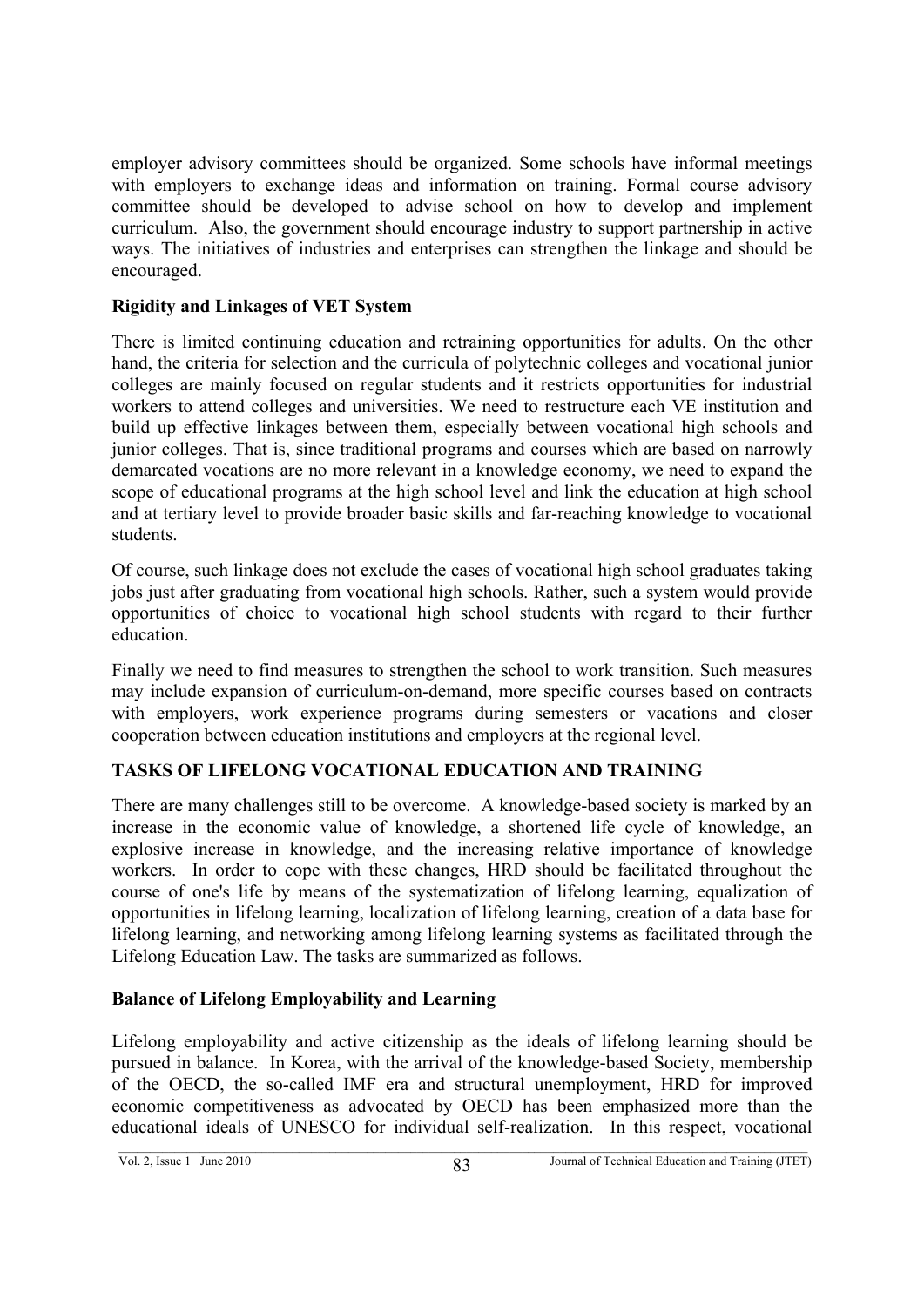employer advisory committees should be organized. Some schools have informal meetings with employers to exchange ideas and information on training. Formal course advisory committee should be developed to advise school on how to develop and implement curriculum. Also, the government should encourage industry to support partnership in active ways. The initiatives of industries and enterprises can strengthen the linkage and should be encouraged.

## **Rigidity and Linkages of VET System**

There is limited continuing education and retraining opportunities for adults. On the other hand, the criteria for selection and the curricula of polytechnic colleges and vocational junior colleges are mainly focused on regular students and it restricts opportunities for industrial workers to attend colleges and universities. We need to restructure each VE institution and build up effective linkages between them, especially between vocational high schools and junior colleges. That is, since traditional programs and courses which are based on narrowly demarcated vocations are no more relevant in a knowledge economy, we need to expand the scope of educational programs at the high school level and link the education at high school and at tertiary level to provide broader basic skills and far-reaching knowledge to vocational students.

Of course, such linkage does not exclude the cases of vocational high school graduates taking jobs just after graduating from vocational high schools. Rather, such a system would provide opportunities of choice to vocational high school students with regard to their further education.

Finally we need to find measures to strengthen the school to work transition. Such measures may include expansion of curriculum-on-demand, more specific courses based on contracts with employers, work experience programs during semesters or vacations and closer cooperation between education institutions and employers at the regional level.

# **TASKS OF LIFELONG VOCATIONAL EDUCATION AND TRAINING**

There are many challenges still to be overcome. A knowledge-based society is marked by an increase in the economic value of knowledge, a shortened life cycle of knowledge, an explosive increase in knowledge, and the increasing relative importance of knowledge workers. In order to cope with these changes, HRD should be facilitated throughout the course of one's life by means of the systematization of lifelong learning, equalization of opportunities in lifelong learning, localization of lifelong learning, creation of a data base for lifelong learning, and networking among lifelong learning systems as facilitated through the Lifelong Education Law. The tasks are summarized as follows.

# **Balance of Lifelong Employability and Learning**

Lifelong employability and active citizenship as the ideals of lifelong learning should be pursued in balance. In Korea, with the arrival of the knowledge-based Society, membership of the OECD, the so-called IMF era and structural unemployment, HRD for improved economic competitiveness as advocated by OECD has been emphasized more than the educational ideals of UNESCO for individual self-realization. In this respect, vocational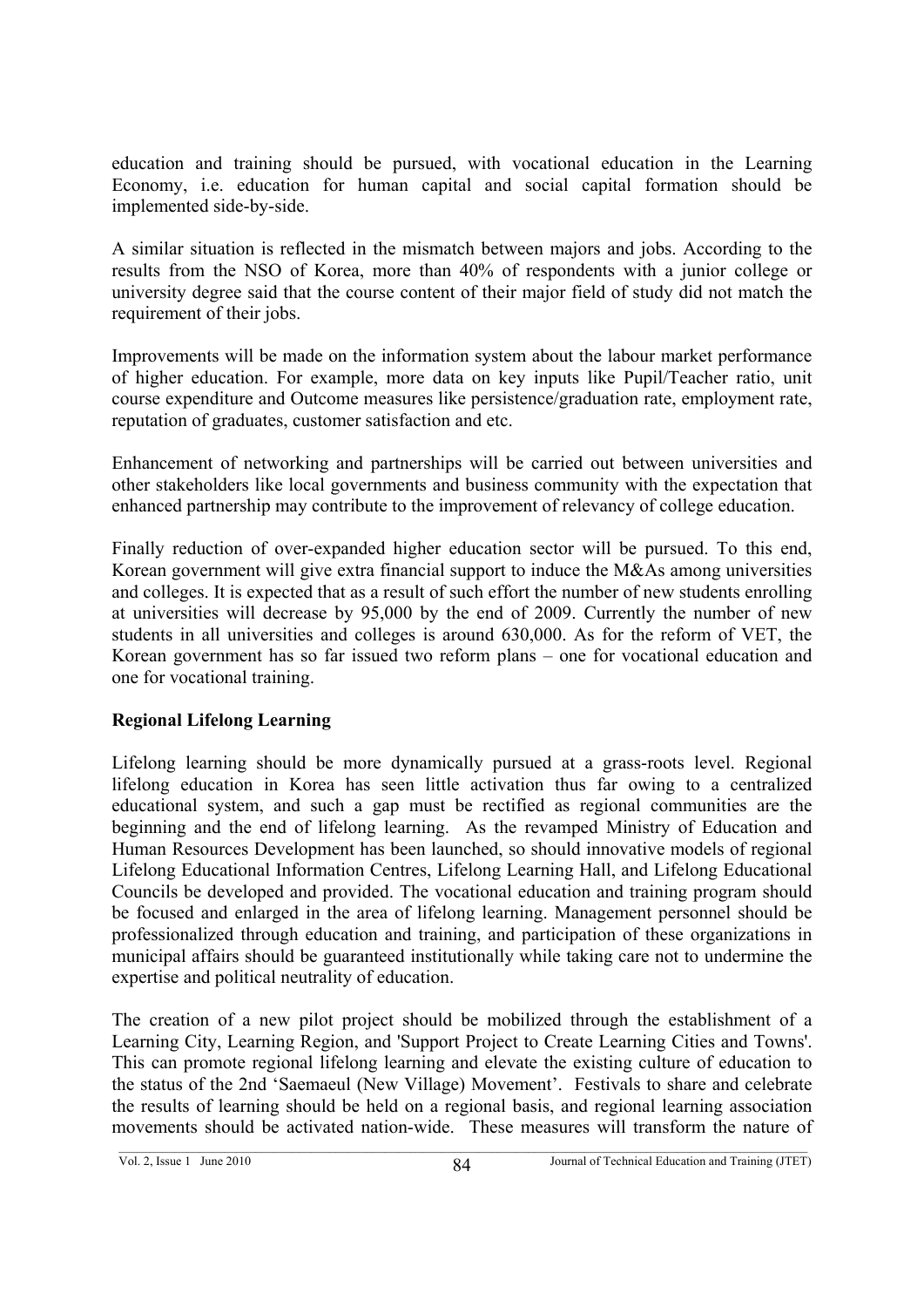education and training should be pursued, with vocational education in the Learning Economy, i.e. education for human capital and social capital formation should be implemented side-by-side.

A similar situation is reflected in the mismatch between majors and jobs. According to the results from the NSO of Korea, more than 40% of respondents with a junior college or university degree said that the course content of their major field of study did not match the requirement of their jobs.

Improvements will be made on the information system about the labour market performance of higher education. For example, more data on key inputs like Pupil/Teacher ratio, unit course expenditure and Outcome measures like persistence/graduation rate, employment rate, reputation of graduates, customer satisfaction and etc.

Enhancement of networking and partnerships will be carried out between universities and other stakeholders like local governments and business community with the expectation that enhanced partnership may contribute to the improvement of relevancy of college education.

Finally reduction of over-expanded higher education sector will be pursued. To this end, Korean government will give extra financial support to induce the M&As among universities and colleges. It is expected that as a result of such effort the number of new students enrolling at universities will decrease by 95,000 by the end of 2009. Currently the number of new students in all universities and colleges is around 630,000. As for the reform of VET, the Korean government has so far issued two reform plans – one for vocational education and one for vocational training.

# **Regional Lifelong Learning**

Lifelong learning should be more dynamically pursued at a grass-roots level. Regional lifelong education in Korea has seen little activation thus far owing to a centralized educational system, and such a gap must be rectified as regional communities are the beginning and the end of lifelong learning. As the revamped Ministry of Education and Human Resources Development has been launched, so should innovative models of regional Lifelong Educational Information Centres, Lifelong Learning Hall, and Lifelong Educational Councils be developed and provided. The vocational education and training program should be focused and enlarged in the area of lifelong learning. Management personnel should be professionalized through education and training, and participation of these organizations in municipal affairs should be guaranteed institutionally while taking care not to undermine the expertise and political neutrality of education.

The creation of a new pilot project should be mobilized through the establishment of a Learning City, Learning Region, and 'Support Project to Create Learning Cities and Towns'. This can promote regional lifelong learning and elevate the existing culture of education to the status of the 2nd 'Saemaeul (New Village) Movement'. Festivals to share and celebrate the results of learning should be held on a regional basis, and regional learning association movements should be activated nation-wide. These measures will transform the nature of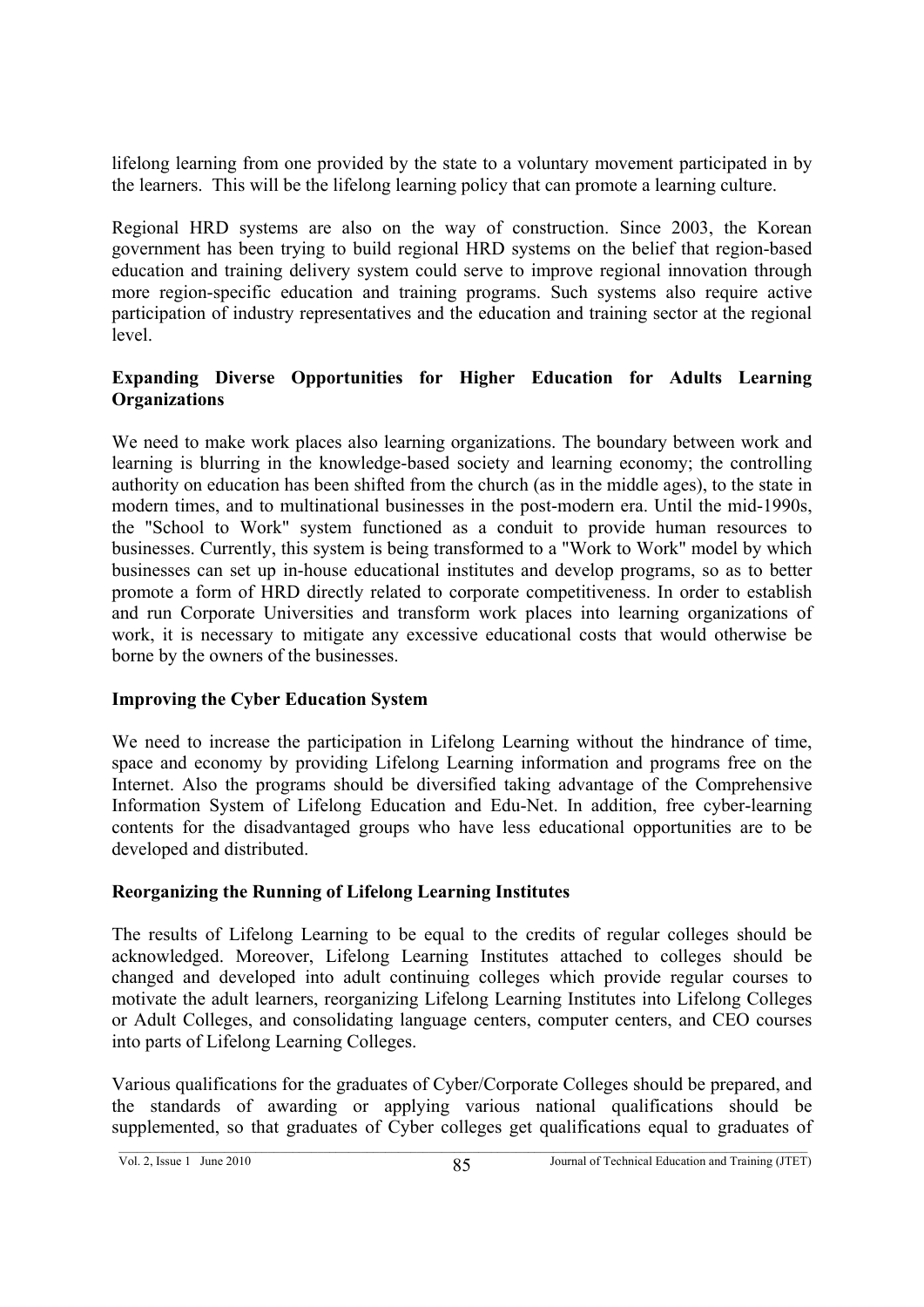lifelong learning from one provided by the state to a voluntary movement participated in by the learners. This will be the lifelong learning policy that can promote a learning culture.

Regional HRD systems are also on the way of construction. Since 2003, the Korean government has been trying to build regional HRD systems on the belief that region-based education and training delivery system could serve to improve regional innovation through more region-specific education and training programs. Such systems also require active participation of industry representatives and the education and training sector at the regional level.

### **Expanding Diverse Opportunities for Higher Education for Adults Learning Organizations**

We need to make work places also learning organizations. The boundary between work and learning is blurring in the knowledge-based society and learning economy; the controlling authority on education has been shifted from the church (as in the middle ages), to the state in modern times, and to multinational businesses in the post-modern era. Until the mid-1990s, the "School to Work" system functioned as a conduit to provide human resources to businesses. Currently, this system is being transformed to a "Work to Work" model by which businesses can set up in-house educational institutes and develop programs, so as to better promote a form of HRD directly related to corporate competitiveness. In order to establish and run Corporate Universities and transform work places into learning organizations of work, it is necessary to mitigate any excessive educational costs that would otherwise be borne by the owners of the businesses.

#### **Improving the Cyber Education System**

We need to increase the participation in Lifelong Learning without the hindrance of time, space and economy by providing Lifelong Learning information and programs free on the Internet. Also the programs should be diversified taking advantage of the Comprehensive Information System of Lifelong Education and Edu-Net. In addition, free cyber-learning contents for the disadvantaged groups who have less educational opportunities are to be developed and distributed.

#### **Reorganizing the Running of Lifelong Learning Institutes**

The results of Lifelong Learning to be equal to the credits of regular colleges should be acknowledged. Moreover, Lifelong Learning Institutes attached to colleges should be changed and developed into adult continuing colleges which provide regular courses to motivate the adult learners, reorganizing Lifelong Learning Institutes into Lifelong Colleges or Adult Colleges, and consolidating language centers, computer centers, and CEO courses into parts of Lifelong Learning Colleges.

Various qualifications for the graduates of Cyber/Corporate Colleges should be prepared, and the standards of awarding or applying various national qualifications should be supplemented, so that graduates of Cyber colleges get qualifications equal to graduates of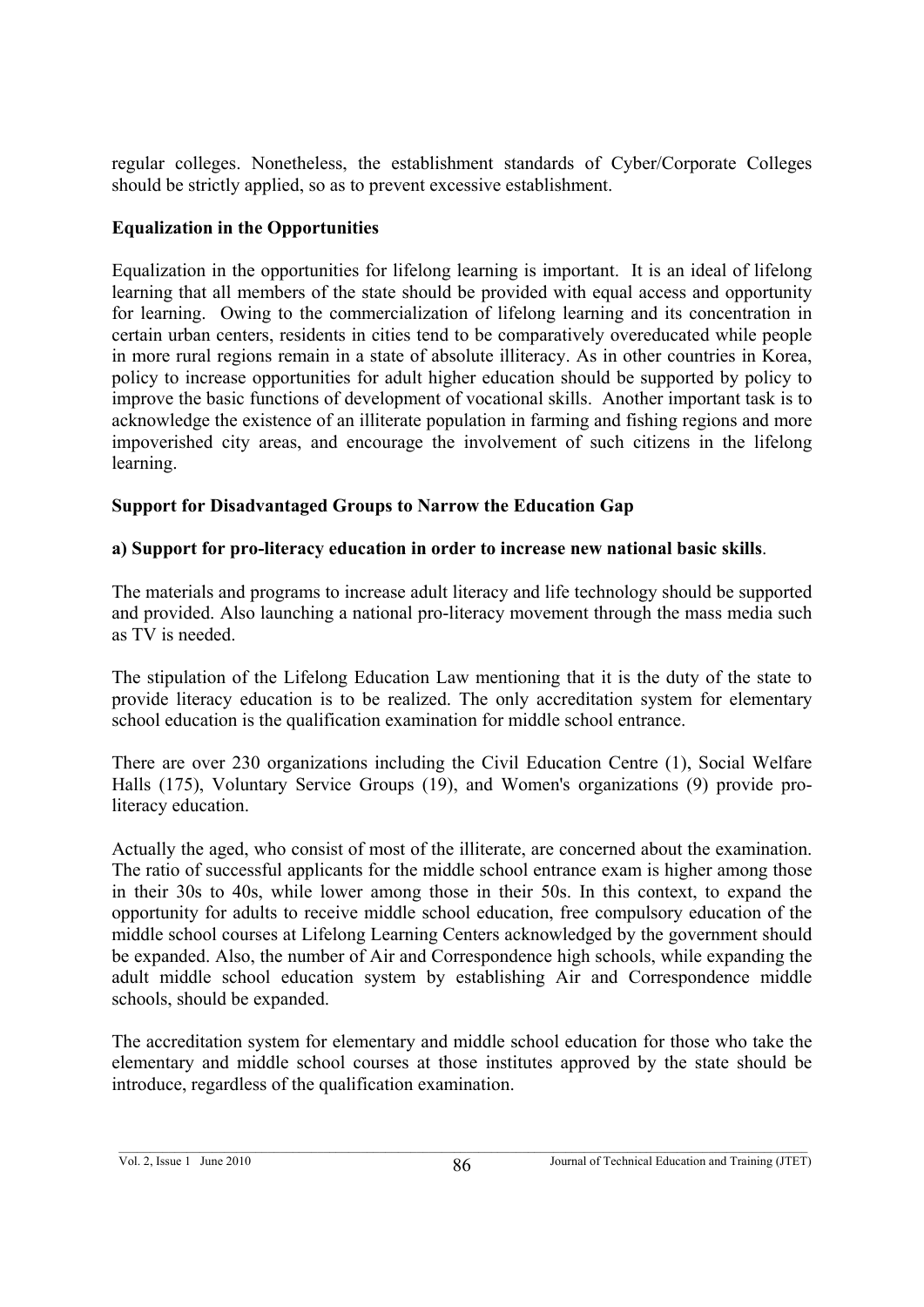regular colleges. Nonetheless, the establishment standards of Cyber/Corporate Colleges should be strictly applied, so as to prevent excessive establishment.

## **Equalization in the Opportunities**

Equalization in the opportunities for lifelong learning is important. It is an ideal of lifelong learning that all members of the state should be provided with equal access and opportunity for learning. Owing to the commercialization of lifelong learning and its concentration in certain urban centers, residents in cities tend to be comparatively overeducated while people in more rural regions remain in a state of absolute illiteracy. As in other countries in Korea, policy to increase opportunities for adult higher education should be supported by policy to improve the basic functions of development of vocational skills. Another important task is to acknowledge the existence of an illiterate population in farming and fishing regions and more impoverished city areas, and encourage the involvement of such citizens in the lifelong learning.

## **Support for Disadvantaged Groups to Narrow the Education Gap**

## **a) Support for pro-literacy education in order to increase new national basic skills**.

The materials and programs to increase adult literacy and life technology should be supported and provided. Also launching a national pro-literacy movement through the mass media such as TV is needed.

The stipulation of the Lifelong Education Law mentioning that it is the duty of the state to provide literacy education is to be realized. The only accreditation system for elementary school education is the qualification examination for middle school entrance.

There are over 230 organizations including the Civil Education Centre (1), Social Welfare Halls (175), Voluntary Service Groups (19), and Women's organizations (9) provide proliteracy education.

Actually the aged, who consist of most of the illiterate, are concerned about the examination. The ratio of successful applicants for the middle school entrance exam is higher among those in their 30s to 40s, while lower among those in their 50s. In this context, to expand the opportunity for adults to receive middle school education, free compulsory education of the middle school courses at Lifelong Learning Centers acknowledged by the government should be expanded. Also, the number of Air and Correspondence high schools, while expanding the adult middle school education system by establishing Air and Correspondence middle schools, should be expanded.

The accreditation system for elementary and middle school education for those who take the elementary and middle school courses at those institutes approved by the state should be introduce, regardless of the qualification examination.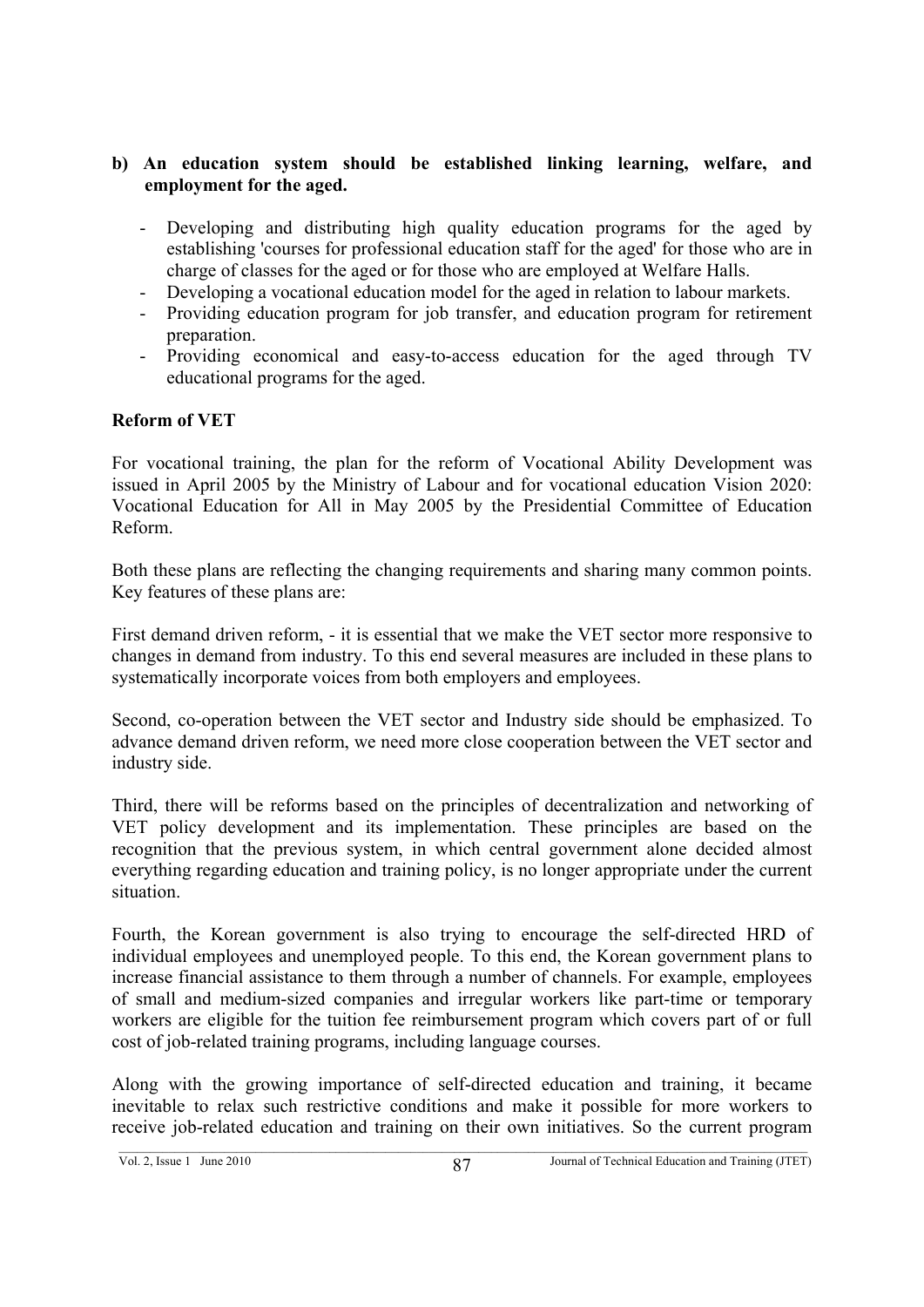### **b) An education system should be established linking learning, welfare, and employment for the aged.**

- Developing and distributing high quality education programs for the aged by establishing 'courses for professional education staff for the aged' for those who are in charge of classes for the aged or for those who are employed at Welfare Halls.
- Developing a vocational education model for the aged in relation to labour markets.
- Providing education program for job transfer, and education program for retirement preparation.
- Providing economical and easy-to-access education for the aged through TV educational programs for the aged.

## **Reform of VET**

For vocational training, the plan for the reform of Vocational Ability Development was issued in April 2005 by the Ministry of Labour and for vocational education Vision 2020: Vocational Education for All in May 2005 by the Presidential Committee of Education Reform.

Both these plans are reflecting the changing requirements and sharing many common points. Key features of these plans are:

First demand driven reform, - it is essential that we make the VET sector more responsive to changes in demand from industry. To this end several measures are included in these plans to systematically incorporate voices from both employers and employees.

Second, co-operation between the VET sector and Industry side should be emphasized. To advance demand driven reform, we need more close cooperation between the VET sector and industry side.

Third, there will be reforms based on the principles of decentralization and networking of VET policy development and its implementation. These principles are based on the recognition that the previous system, in which central government alone decided almost everything regarding education and training policy, is no longer appropriate under the current situation.

Fourth, the Korean government is also trying to encourage the self-directed HRD of individual employees and unemployed people. To this end, the Korean government plans to increase financial assistance to them through a number of channels. For example, employees of small and medium-sized companies and irregular workers like part-time or temporary workers are eligible for the tuition fee reimbursement program which covers part of or full cost of job-related training programs, including language courses.

Along with the growing importance of self-directed education and training, it became inevitable to relax such restrictive conditions and make it possible for more workers to receive job-related education and training on their own initiatives. So the current program